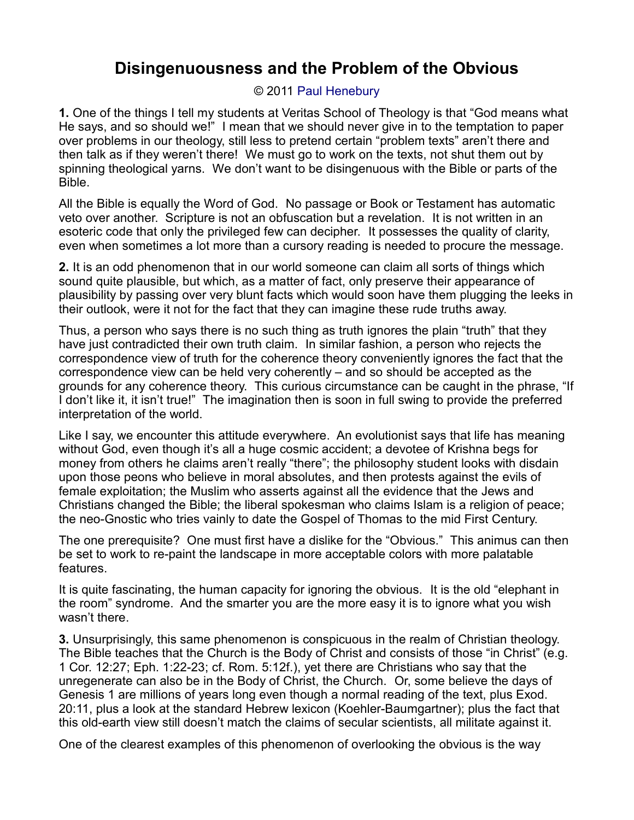## **Disingenuousness and the Problem of the Obvious**

## © 2011 [Paul Henebury](http://www.spiritandtruth.org/id/ph.htm)

**1.** One of the things I tell my students at Veritas School of Theology is that "God means what He says, and so should we!" I mean that we should never give in to the temptation to paper over problems in our theology, still less to pretend certain "problem texts" aren't there and then talk as if they weren't there! We must go to work on the texts, not shut them out by spinning theological yarns. We don't want to be disingenuous with the Bible or parts of the Bible.

All the Bible is equally the Word of God. No passage or Book or Testament has automatic veto over another. Scripture is not an obfuscation but a revelation. It is not written in an esoteric code that only the privileged few can decipher. It possesses the quality of clarity, even when sometimes a lot more than a cursory reading is needed to procure the message.

**2.** It is an odd phenomenon that in our world someone can claim all sorts of things which sound quite plausible, but which, as a matter of fact, only preserve their appearance of plausibility by passing over very blunt facts which would soon have them plugging the leeks in their outlook, were it not for the fact that they can imagine these rude truths away.

Thus, a person who says there is no such thing as truth ignores the plain "truth" that they have just contradicted their own truth claim. In similar fashion, a person who rejects the correspondence view of truth for the coherence theory conveniently ignores the fact that the correspondence view can be held very coherently – and so should be accepted as the grounds for any coherence theory. This curious circumstance can be caught in the phrase, "If I don't like it, it isn't true!" The imagination then is soon in full swing to provide the preferred interpretation of the world.

Like I say, we encounter this attitude everywhere. An evolutionist says that life has meaning without God, even though it's all a huge cosmic accident; a devotee of Krishna begs for money from others he claims aren't really "there"; the philosophy student looks with disdain upon those peons who believe in moral absolutes, and then protests against the evils of female exploitation; the Muslim who asserts against all the evidence that the Jews and Christians changed the Bible; the liberal spokesman who claims Islam is a religion of peace; the neo-Gnostic who tries vainly to date the Gospel of Thomas to the mid First Century.

The one prerequisite? One must first have a dislike for the "Obvious." This animus can then be set to work to re-paint the landscape in more acceptable colors with more palatable features.

It is quite fascinating, the human capacity for ignoring the obvious. It is the old "elephant in the room" syndrome. And the smarter you are the more easy it is to ignore what you wish wasn't there.

**3.** Unsurprisingly, this same phenomenon is conspicuous in the realm of Christian theology. The Bible teaches that the Church is the Body of Christ and consists of those "in Christ" (e.g. 1 Cor. 12:27; Eph. 1:22-23; cf. Rom. 5:12f.), yet there are Christians who say that the unregenerate can also be in the Body of Christ, the Church. Or, some believe the days of Genesis 1 are millions of years long even though a normal reading of the text, plus Exod. 20:11, plus a look at the standard Hebrew lexicon (Koehler-Baumgartner); plus the fact that this old-earth view still doesn't match the claims of secular scientists, all militate against it.

One of the clearest examples of this phenomenon of overlooking the obvious is the way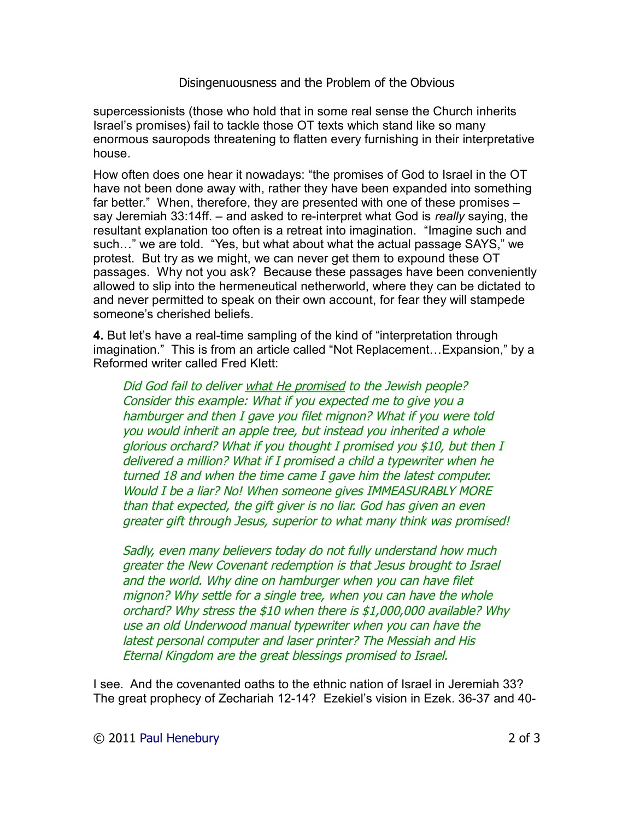## Disingenuousness and the Problem of the Obvious

supercessionists (those who hold that in some real sense the Church inherits Israel's promises) fail to tackle those OT texts which stand like so many enormous sauropods threatening to flatten every furnishing in their interpretative house.

How often does one hear it nowadays: "the promises of God to Israel in the OT have not been done away with, rather they have been expanded into something far better." When, therefore, they are presented with one of these promises – say Jeremiah 33:14ff. – and asked to re-interpret what God is *really* saying, the resultant explanation too often is a retreat into imagination. "Imagine such and such…" we are told. "Yes, but what about what the actual passage SAYS," we protest. But try as we might, we can never get them to expound these OT passages. Why not you ask? Because these passages have been conveniently allowed to slip into the hermeneutical netherworld, where they can be dictated to and never permitted to speak on their own account, for fear they will stampede someone's cherished beliefs.

**4.** But let's have a real-time sampling of the kind of "interpretation through imagination." This is from an article called "Not Replacement…Expansion," by a Reformed writer called Fred Klett:

Did God fail to deliver what He promised to the Jewish people? Consider this example: What if you expected me to give you a hamburger and then I gave you filet mignon? What if you were told you would inherit an apple tree, but instead you inherited a whole glorious orchard? What if you thought I promised you \$10, but then I delivered a million? What if I promised a child a typewriter when he turned 18 and when the time came I gave him the latest computer. Would I be a liar? No! When someone gives IMMEASURABLY MORE than that expected, the gift giver is no liar. God has given an even greater gift through Jesus, superior to what many think was promised!

Sadly, even many believers today do not fully understand how much greater the New Covenant redemption is that Jesus brought to Israel and the world. Why dine on hamburger when you can have filet mignon? Why settle for a single tree, when you can have the whole orchard? Why stress the \$10 when there is \$1,000,000 available? Why use an old Underwood manual typewriter when you can have the latest personal computer and laser printer? The Messiah and His Eternal Kingdom are the great blessings promised to Israel.

I see. And the covenanted oaths to the ethnic nation of Israel in Jeremiah 33? The great prophecy of Zechariah 12-14? Ezekiel's vision in Ezek. 36-37 and 40